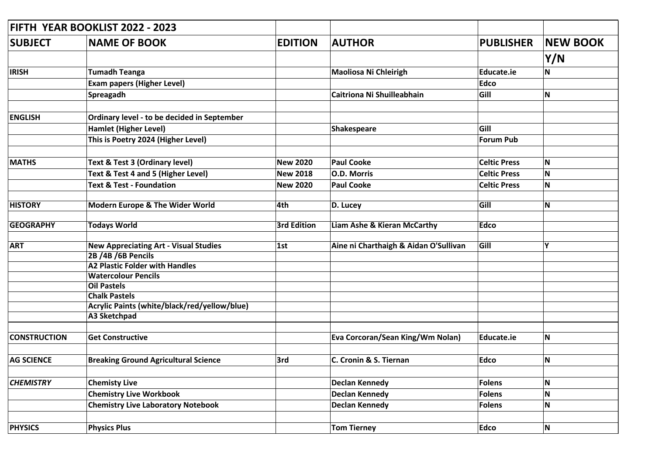|                     | FIFTH YEAR BOOKLIST 2022 - 2023              |                    |                                       |                     |                 |
|---------------------|----------------------------------------------|--------------------|---------------------------------------|---------------------|-----------------|
| <b>SUBJECT</b>      | <b>NAME OF BOOK</b>                          | <b>EDITION</b>     | <b>AUTHOR</b>                         | <b>PUBLISHER</b>    | <b>NEW BOOK</b> |
|                     |                                              |                    |                                       |                     | Y/N             |
| <b>IRISH</b>        | <b>Tumadh Teanga</b>                         |                    | <b>Maoliosa Ni Chleirigh</b>          | Educate.ie          | N               |
|                     | <b>Exam papers (Higher Level)</b>            |                    |                                       | <b>Edco</b>         |                 |
|                     | Spreagadh                                    |                    | Caitriona Ni Shuilleabhain            | Gill                | N               |
|                     |                                              |                    |                                       |                     |                 |
| <b>ENGLISH</b>      | Ordinary level - to be decided in September  |                    |                                       |                     |                 |
|                     | <b>Hamlet (Higher Level)</b>                 |                    | Shakespeare                           | Gill                |                 |
|                     | This is Poetry 2024 (Higher Level)           |                    |                                       | <b>Forum Pub</b>    |                 |
| <b>MATHS</b>        | Text & Test 3 (Ordinary level)               | <b>New 2020</b>    | <b>Paul Cooke</b>                     | <b>Celtic Press</b> | N               |
|                     | Text & Test 4 and 5 (Higher Level)           | <b>New 2018</b>    | <b>O.D. Morris</b>                    | <b>Celtic Press</b> | N               |
|                     | <b>Text &amp; Test - Foundation</b>          |                    |                                       |                     |                 |
|                     |                                              | <b>New 2020</b>    | <b>Paul Cooke</b>                     | <b>Celtic Press</b> | N               |
| <b>HISTORY</b>      | Modern Europe & The Wider World              | 4th                | D. Lucey                              | Gill                | N               |
|                     |                                              |                    |                                       |                     |                 |
| <b>GEOGRAPHY</b>    | <b>Todays World</b>                          | <b>3rd Edition</b> | Liam Ashe & Kieran McCarthy           | <b>Edco</b>         |                 |
| <b>ART</b>          | <b>New Appreciating Art - Visual Studies</b> | 1st                | Aine ni Charthaigh & Aidan O'Sullivan | Gill                | Υ               |
|                     | 2B /4B /6B Pencils                           |                    |                                       |                     |                 |
|                     | <b>A2 Plastic Folder with Handles</b>        |                    |                                       |                     |                 |
|                     | <b>Watercolour Pencils</b>                   |                    |                                       |                     |                 |
|                     | <b>Oil Pastels</b>                           |                    |                                       |                     |                 |
|                     | <b>Chalk Pastels</b>                         |                    |                                       |                     |                 |
|                     | Acrylic Paints (white/black/red/yellow/blue) |                    |                                       |                     |                 |
|                     | <b>A3 Sketchpad</b>                          |                    |                                       |                     |                 |
| <b>CONSTRUCTION</b> | <b>Get Constructive</b>                      |                    | Eva Corcoran/Sean King/Wm Nolan)      | Educate.ie          | N               |
|                     |                                              |                    |                                       |                     |                 |
| <b>AG SCIENCE</b>   | <b>Breaking Ground Agricultural Science</b>  | 3rd                | C. Cronin & S. Tiernan                | <b>Edco</b>         | N               |
|                     |                                              |                    |                                       |                     |                 |
| <b>CHEMISTRY</b>    | <b>Chemisty Live</b>                         |                    | <b>Declan Kennedy</b>                 | Folens              | N               |
|                     | <b>Chemistry Live Workbook</b>               |                    | <b>Declan Kennedy</b>                 | <b>Folens</b>       | N               |
|                     | <b>Chemistry Live Laboratory Notebook</b>    |                    | <b>Declan Kennedy</b>                 | <b>Folens</b>       | N               |
|                     |                                              |                    |                                       |                     |                 |
| <b>PHYSICS</b>      | <b>Physics Plus</b>                          |                    | <b>Tom Tierney</b>                    | Edco                | N               |